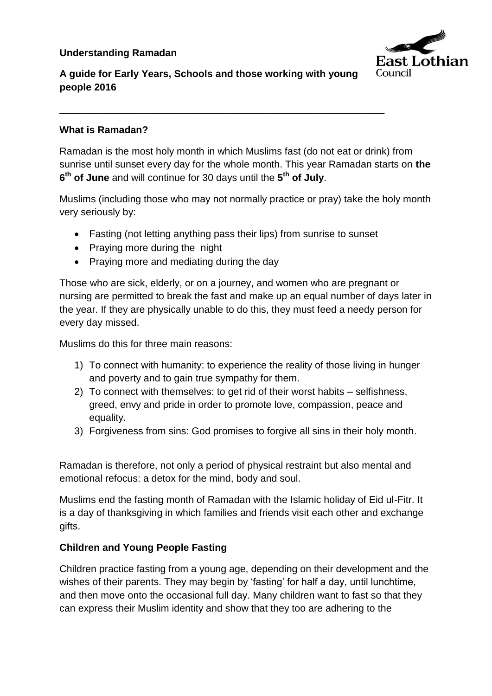## **Understanding Ramadan**



# **A guide for Early Years, Schools and those working with young people 2016**

\_\_\_\_\_\_\_\_\_\_\_\_\_\_\_\_\_\_\_\_\_\_\_\_\_\_\_\_\_\_\_\_\_\_\_\_\_\_\_\_\_\_\_\_\_\_\_\_\_\_\_\_\_\_\_\_\_\_\_

#### **What is Ramadan?**

Ramadan is the most holy month in which Muslims fast (do not eat or drink) from sunrise until sunset every day for the whole month. This year Ramadan starts on **the 6 th of June** and will continue for 30 days until the **5 th of July**.

Muslims (including those who may not normally practice or pray) take the holy month very seriously by:

- Fasting (not letting anything pass their lips) from sunrise to sunset
- Praying more during the night
- Praying more and mediating during the day

Those who are sick, elderly, or on a journey, and women who are pregnant or nursing are permitted to break the fast and make up an equal number of days later in the year. If they are physically unable to do this, they must feed a needy person for every day missed.

Muslims do this for three main reasons:

- 1) To connect with humanity: to experience the reality of those living in hunger and poverty and to gain true sympathy for them.
- 2) To connect with themselves: to get rid of their worst habits selfishness, greed, envy and pride in order to promote love, compassion, peace and equality.
- 3) Forgiveness from sins: God promises to forgive all sins in their holy month.

Ramadan is therefore, not only a period of physical restraint but also mental and emotional refocus: a detox for the mind, body and soul.

Muslims end the fasting month of Ramadan with the Islamic holiday of Eid ul-Fitr. It is a day of thanksgiving in which families and friends visit each other and exchange gifts.

#### **Children and Young People Fasting**

Children practice fasting from a young age, depending on their development and the wishes of their parents. They may begin by 'fasting' for half a day, until lunchtime, and then move onto the occasional full day. Many children want to fast so that they can express their Muslim identity and show that they too are adhering to the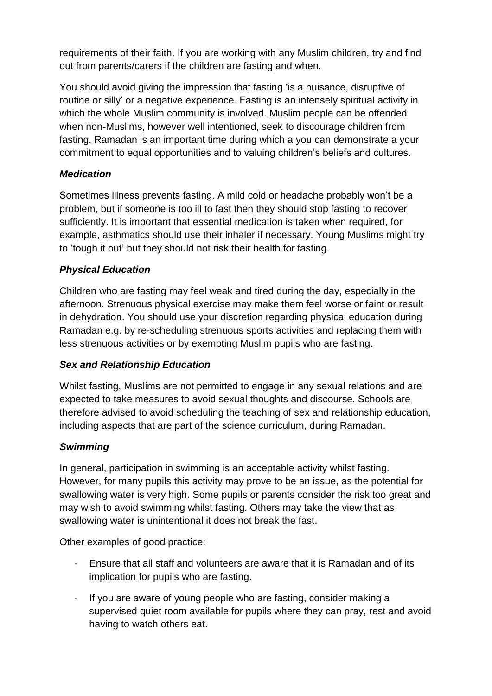requirements of their faith. If you are working with any Muslim children, try and find out from parents/carers if the children are fasting and when.

You should avoid giving the impression that fasting 'is a nuisance, disruptive of routine or silly' or a negative experience. Fasting is an intensely spiritual activity in which the whole Muslim community is involved. Muslim people can be offended when non-Muslims, however well intentioned, seek to discourage children from fasting. Ramadan is an important time during which a you can demonstrate a your commitment to equal opportunities and to valuing children's beliefs and cultures.

# *Medication*

Sometimes illness prevents fasting. A mild cold or headache probably won't be a problem, but if someone is too ill to fast then they should stop fasting to recover sufficiently. It is important that essential medication is taken when required, for example, asthmatics should use their inhaler if necessary. Young Muslims might try to 'tough it out' but they should not risk their health for fasting.

## *Physical Education*

Children who are fasting may feel weak and tired during the day, especially in the afternoon. Strenuous physical exercise may make them feel worse or faint or result in dehydration. You should use your discretion regarding physical education during Ramadan e.g. by re-scheduling strenuous sports activities and replacing them with less strenuous activities or by exempting Muslim pupils who are fasting.

## *Sex and Relationship Education*

Whilst fasting, Muslims are not permitted to engage in any sexual relations and are expected to take measures to avoid sexual thoughts and discourse. Schools are therefore advised to avoid scheduling the teaching of sex and relationship education, including aspects that are part of the science curriculum, during Ramadan.

## *Swimming*

In general, participation in swimming is an acceptable activity whilst fasting. However, for many pupils this activity may prove to be an issue, as the potential for swallowing water is very high. Some pupils or parents consider the risk too great and may wish to avoid swimming whilst fasting. Others may take the view that as swallowing water is unintentional it does not break the fast.

Other examples of good practice:

- Ensure that all staff and volunteers are aware that it is Ramadan and of its implication for pupils who are fasting.
- If you are aware of young people who are fasting, consider making a supervised quiet room available for pupils where they can pray, rest and avoid having to watch others eat.